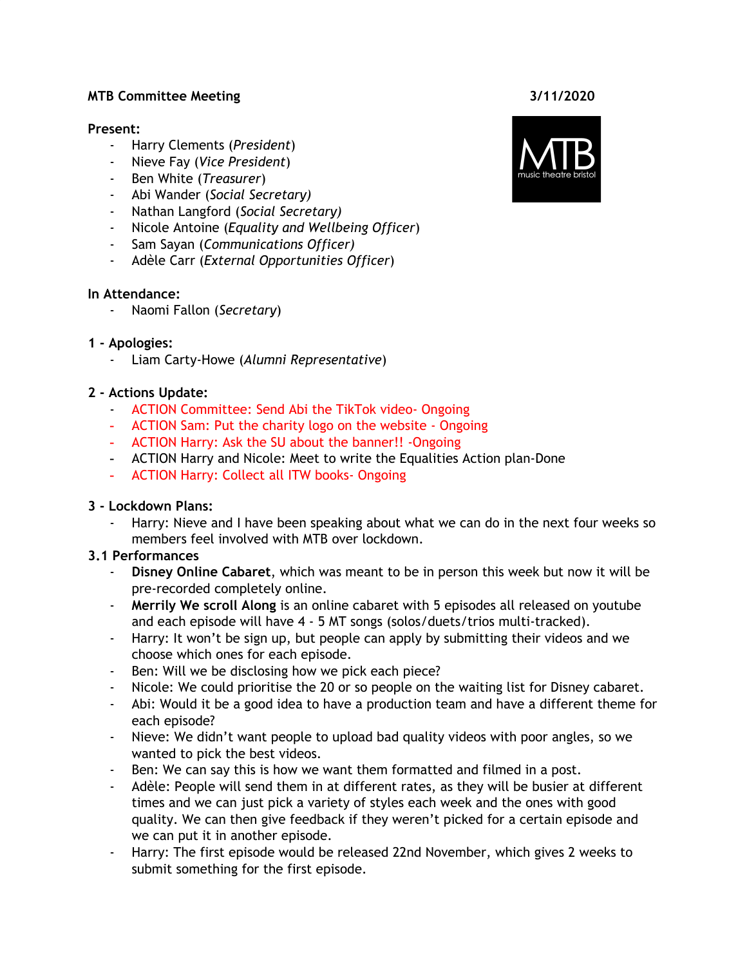## **MTB Committee Meeting 3/11/2020**

#### **Present:**

- Harry Clements (*President*)
- Nieve Fay (*Vice President*)
- Ben White (*Treasurer*)
- Abi Wander (*Social Secretary)*
- Nathan Langford (*Social Secretary)*
- *-* Nicole Antoine (*Equality and Wellbeing Officer*)
- Sam Sayan (*Communications Officer)*
- Adèle Carr (*External Opportunities Officer*)

## **In Attendance:**

- Naomi Fallon (*Secretary*)

## **1 - Apologies:**

- Liam Carty-Howe (*Alumni Representative*)

## **2 - Actions Update:**

- ACTION Committee: Send Abi the TikTok video- Ongoing
- ACTION Sam: Put the charity logo on the website Ongoing
- ACTION Harry: Ask the SU about the banner!! -Ongoing
- ACTION Harry and Nicole: Meet to write the Equalities Action plan-Done
- ACTION Harry: Collect all ITW books- Ongoing

## **3 - Lockdown Plans:**

Harry: Nieve and I have been speaking about what we can do in the next four weeks so members feel involved with MTB over lockdown.

## **3.1 Performances**

- **Disney Online Cabaret**, which was meant to be in person this week but now it will be pre-recorded completely online.
- **Merrily We scroll Along** is an online cabaret with 5 episodes all released on youtube and each episode will have 4 - 5 MT songs (solos/duets/trios multi-tracked).
- Harry: It won't be sign up, but people can apply by submitting their videos and we choose which ones for each episode.
- Ben: Will we be disclosing how we pick each piece?
- Nicole: We could prioritise the 20 or so people on the waiting list for Disney cabaret.
- Abi: Would it be a good idea to have a production team and have a different theme for each episode?
- Nieve: We didn't want people to upload bad quality videos with poor angles, so we wanted to pick the best videos.
- Ben: We can say this is how we want them formatted and filmed in a post.
- Adèle: People will send them in at different rates, as they will be busier at different times and we can just pick a variety of styles each week and the ones with good quality. We can then give feedback if they weren't picked for a certain episode and we can put it in another episode.
- Harry: The first episode would be released 22nd November, which gives 2 weeks to submit something for the first episode.

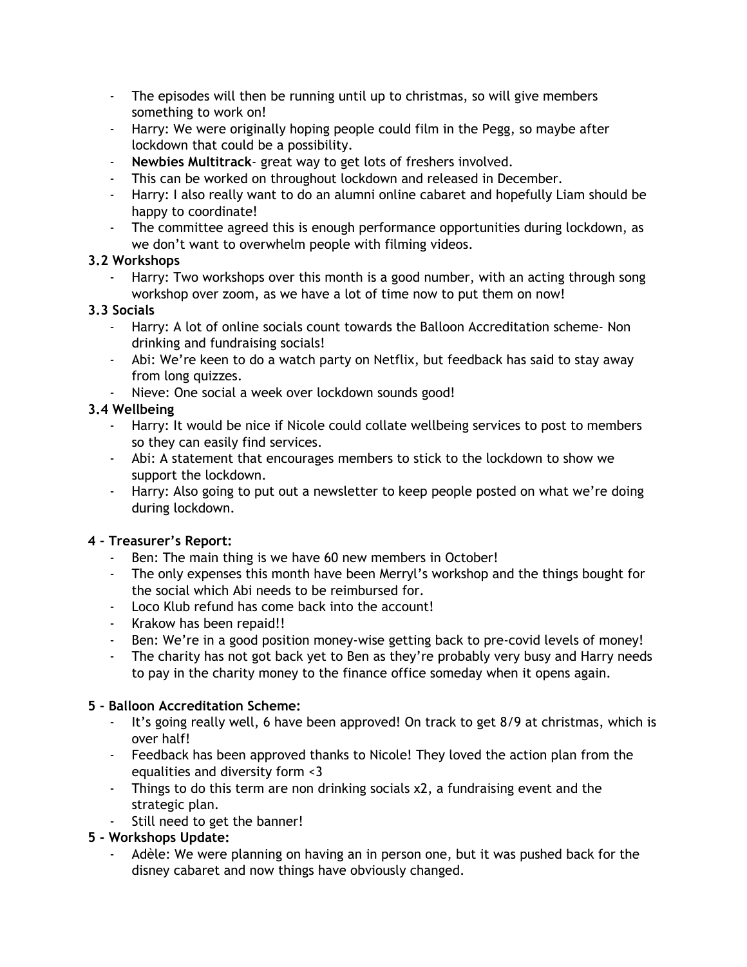- The episodes will then be running until up to christmas, so will give members something to work on!
- Harry: We were originally hoping people could film in the Pegg, so maybe after lockdown that could be a possibility.
- **Newbies Multitrack** great way to get lots of freshers involved.
- This can be worked on throughout lockdown and released in December.
- Harry: I also really want to do an alumni online cabaret and hopefully Liam should be happy to coordinate!
- The committee agreed this is enough performance opportunities during lockdown, as we don't want to overwhelm people with filming videos.

## **3.2 Workshops**

Harry: Two workshops over this month is a good number, with an acting through song workshop over zoom, as we have a lot of time now to put them on now!

# **3.3 Socials**

- Harry: A lot of online socials count towards the Balloon Accreditation scheme- Non drinking and fundraising socials!
- Abi: We're keen to do a watch party on Netflix, but feedback has said to stay away from long quizzes.
- Nieve: One social a week over lockdown sounds good!

# **3.4 Wellbeing**

- Harry: It would be nice if Nicole could collate wellbeing services to post to members so they can easily find services.
- Abi: A statement that encourages members to stick to the lockdown to show we support the lockdown.
- Harry: Also going to put out a newsletter to keep people posted on what we're doing during lockdown.

# **4 - Treasurer's Report:**

- Ben: The main thing is we have 60 new members in October!
- The only expenses this month have been Merryl's workshop and the things bought for the social which Abi needs to be reimbursed for.
- Loco Klub refund has come back into the account!
- Krakow has been repaid!!
- Ben: We're in a good position money-wise getting back to pre-covid levels of money!
- The charity has not got back yet to Ben as they're probably very busy and Harry needs to pay in the charity money to the finance office someday when it opens again.

# **5 - Balloon Accreditation Scheme:**

- It's going really well, 6 have been approved! On track to get 8/9 at christmas, which is over half!
- Feedback has been approved thanks to Nicole! They loved the action plan from the equalities and diversity form <3
- Things to do this term are non drinking socials x2, a fundraising event and the strategic plan.
- Still need to get the banner!

# **5 - Workshops Update:**

- Adèle: We were planning on having an in person one, but it was pushed back for the disney cabaret and now things have obviously changed.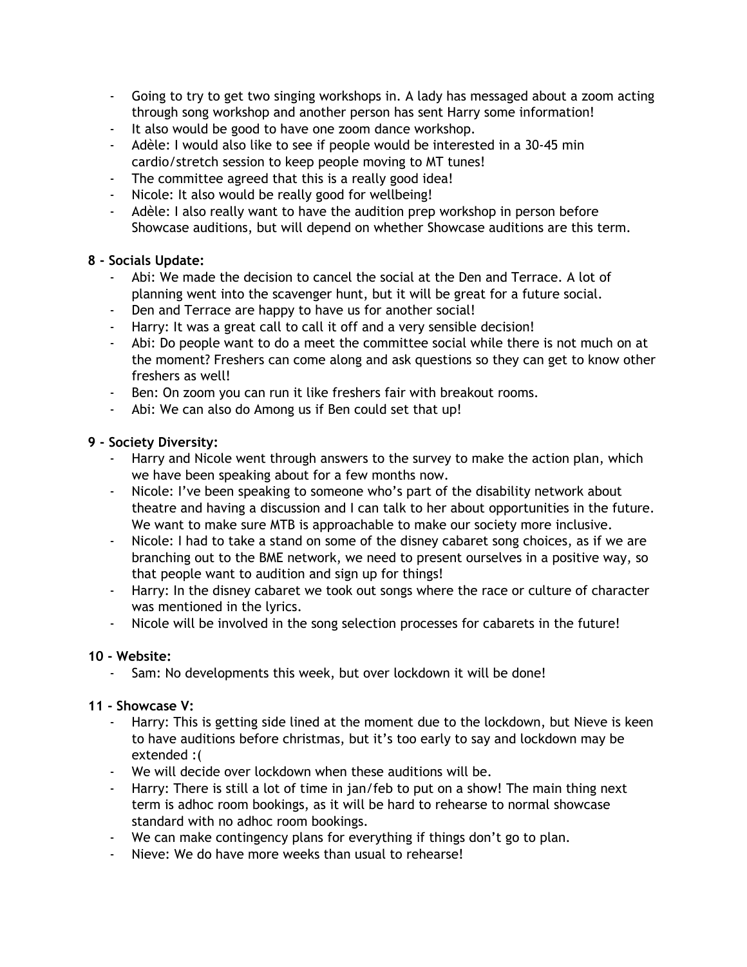- Going to try to get two singing workshops in. A lady has messaged about a zoom acting through song workshop and another person has sent Harry some information!
- It also would be good to have one zoom dance workshop.
- Adèle: I would also like to see if people would be interested in a 30-45 min cardio/stretch session to keep people moving to MT tunes!
- The committee agreed that this is a really good idea!
- Nicole: It also would be really good for wellbeing!
- Adèle: I also really want to have the audition prep workshop in person before Showcase auditions, but will depend on whether Showcase auditions are this term.

## **8 - Socials Update:**

- Abi: We made the decision to cancel the social at the Den and Terrace. A lot of planning went into the scavenger hunt, but it will be great for a future social.
- Den and Terrace are happy to have us for another social!
- Harry: It was a great call to call it off and a very sensible decision!
- Abi: Do people want to do a meet the committee social while there is not much on at the moment? Freshers can come along and ask questions so they can get to know other freshers as well!
- Ben: On zoom you can run it like freshers fair with breakout rooms.
- Abi: We can also do Among us if Ben could set that up!

## **9 - Society Diversity:**

- Harry and Nicole went through answers to the survey to make the action plan, which we have been speaking about for a few months now.
- Nicole: I've been speaking to someone who's part of the disability network about theatre and having a discussion and I can talk to her about opportunities in the future. We want to make sure MTB is approachable to make our society more inclusive.
- Nicole: I had to take a stand on some of the disney cabaret song choices, as if we are branching out to the BME network, we need to present ourselves in a positive way, so that people want to audition and sign up for things!
- Harry: In the disney cabaret we took out songs where the race or culture of character was mentioned in the lyrics.
- Nicole will be involved in the song selection processes for cabarets in the future!

## **10 - Website:**

- Sam: No developments this week, but over lockdown it will be done!

## **11 - Showcase V:**

- Harry: This is getting side lined at the moment due to the lockdown, but Nieve is keen to have auditions before christmas, but it's too early to say and lockdown may be extended :(
- We will decide over lockdown when these auditions will be.
- Harry: There is still a lot of time in jan/feb to put on a show! The main thing next term is adhoc room bookings, as it will be hard to rehearse to normal showcase standard with no adhoc room bookings.
- We can make contingency plans for everything if things don't go to plan.
- Nieve: We do have more weeks than usual to rehearse!